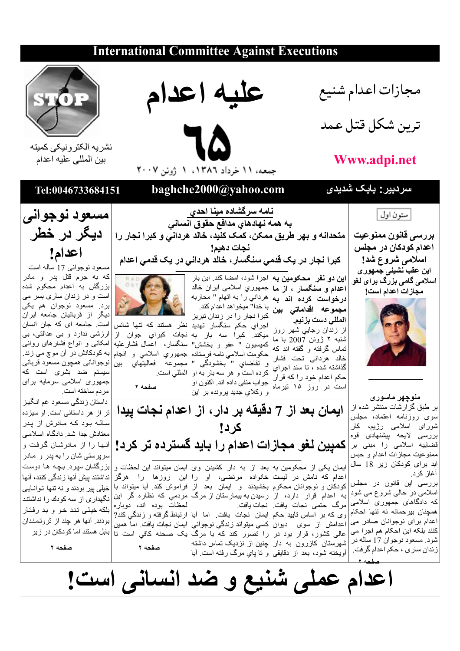## **International Committee Against Executions**



## Www.adpi.net

| ستون اول

اسلامی شروع شد!

این عقب نشین*ی* جمهور *ی* 

اسلا*می* گا*می بز*رگ برای لغو

مجازات اعدام است!

منوچهر ماسوری

بر طبق گزارشات منتشر شده از

سوی روزنامه اعتماد، مجلس

ٹیورا*ی* اسلامی رژیم، کار

بررسی لایحه بیشنهادی قوه

ممنوعيت مجازات اعدام و حبس

ابد برای کودکان زیر 18 سال

أغاز كر د.





نشريه الكترونيكي كميته بين المللي عليه اعدام

اعدام!

سردبیر : بابک شدیدی baghche2000@yahoo.com Tel:0046733684151 <u>نامه سرگشاده مینا احدی</u><br>به همه نهادهای مدافع حقوق انسان*ی* مسعود نوجوانی |متحدانه و بهر طريق ممكن، كمَّك كنيد، خالد هرداني و كبرا نجار را | **ديبگر در خَطْر** بررسی قانون ممنوعیت نجات دهيم! اعدام كودكا*ن د*ر مجلس

ِ کبرا نجار در یک قدم*ی سن*گسار، خالد هردان*ی* در یک قدمی اعدام

ا**ین دو نفر محکومین به** اجرا شود، امضا کند. این بار **اعدام و سنگسار ، از ما** جمهوري اسلامي ايران خالد **درخواست کرده اند به** هرداني را به اتهام " محاربه م**جموعه اقداماتی بین** با خدا" میخواهد اعدام کند.<br>م**جموعه اقداماتی بین** کبرا نجار را در زندان تبریز

المللي دست بزنيم. از زندان رجایی شهر روز . روس ، در د در د د د .<br>تماس گرفته و گفته اند که کمیسیون " عفو و بخشش" سنگسار، اعمال فشارعلیه ر کر ب سه بر ب سه بر ب سه بر ب اور<br>است در روز ۱۵ نیرماه جواب منفی داده اند اکنون او و وكلاي جديد پرونده بر اين

اجرای حکم سنگسار تهدید نظر هستند که تنها شانس میکند. کبرا سه بار به نجات کبرای جوان از

ارزشی ندارد و بی عدالتی، بی امکانی و انواع فشارهای روانی

صفحه ۲

ايمان بعد از 7 دقيقه بر دار ، از اعدام نجات پيدا کر د! سَرَبِّ فَ سَلَامِي نَّرا مِننَى بَرَ |كميين لَغْقِ مجازات اعدام را بايد گسترده تر كرد! |آنها را از مادرشان گرفت و ایمان یکی از محکومین به بعد از به دار کشیدن وی ایمان میتواند این لحظات و

اعدام که نامش در لیست خانواده مرتضی، او را این روزها را هرگز بررسی این قانون در مجلس کودکان و نوجوانان محکوم بخشیدند و ایمان بعد از فراموش کند. آیا میتواند با اسلامی در حالمی شروع می شود که دادگاهای جمهوری اسلامی لحظات بوده اند، دوباره |مر گ | حتمی نحات |بافت | نحات بافت همچنان بیر حمانه نه تنها احکام وی که بر اساس تأیید حکم ایمان نجات یافت. اما أیا ارتباط گرفته و زندگی کند? اعدام برای نوجوانان صادر می اعدامش از سوی دیوان کسی میتواند زندگی نوجوانی ایمان نجات یافت اما همین عالمی کشور، قرار بود در را تصور کند که با مرگ یک صحنه کافی است تا بابل هستند اماکودکان در زیر كنند بلكه اين احكام هم اجرا مي شود. مسعود نوجوان 17 ساله در شهرستان کازرون به دار چنین از نزدیک تماس داشته صفحه ۲ زندان ساري ، حكم اعدام گرفت. أويخته شود، بعد از دقايقي و تا ياي مرگ رفته است. أيا

به کو دکانش در آن مو چ مے ز ند. و نقاضاي " بخشودگي " مجموعه ْ فعاليتهاي بين|نوجوانانـي همچون مسعود قربانـي سیستم ضد بشری است که جمهوری اسلامی سرمایه برای مردم ساخته است. داستان زندگی مسعود غم انگیز تر از هر داستانی است. او سیزده سالـه بود کـه مـادرش از پدر معتادش جدا شد. دادگاه اسلامی سرپرستی شان را به پدر و مادر

بزرگشان سپرد. بچه ها دوست نداشتند بیش آنها زندگی کنند، آنها خیلی پیر بودند و نه تنها توانایی بلكه خيلي تند خو و بد رفتار بودند. آنها هر چند از ثروتمندان

صفحه ٢

اعدام عملی شنیع و ضد انسانی است!

مسعود نوجواني 17 ساله است که به جرم قتل پدر و مادر بزرگش به اعدام محکوم شده







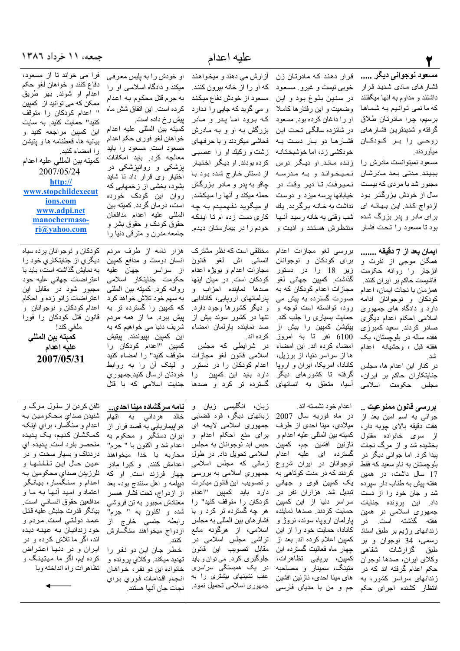| جمعه، ۱۱ خرداد ۱۳۸٦                                                                                                                                                                                                                                                                                                                                                                                |                                                                                                                                                                                                                                                                                                                                                                                                                                                                                            | عليه اعدام                                                                                                                                                                                                                                                                                                                                                                                                              |                                                                                                                                                                                                                                                                                                                                                                                                                                                |                                                                                                                                                                                                                                                                                                                                                                                                                      |
|----------------------------------------------------------------------------------------------------------------------------------------------------------------------------------------------------------------------------------------------------------------------------------------------------------------------------------------------------------------------------------------------------|--------------------------------------------------------------------------------------------------------------------------------------------------------------------------------------------------------------------------------------------------------------------------------------------------------------------------------------------------------------------------------------------------------------------------------------------------------------------------------------------|-------------------------------------------------------------------------------------------------------------------------------------------------------------------------------------------------------------------------------------------------------------------------------------------------------------------------------------------------------------------------------------------------------------------------|------------------------------------------------------------------------------------------------------------------------------------------------------------------------------------------------------------------------------------------------------------------------------------------------------------------------------------------------------------------------------------------------------------------------------------------------|----------------------------------------------------------------------------------------------------------------------------------------------------------------------------------------------------------------------------------------------------------------------------------------------------------------------------------------------------------------------------------------------------------------------|
| فرا می خواند تا از مسعود،<br>دفاع كنند و خواهان لغو حكم<br>اعدام او شوند. بهر طريق<br>ممکن که می توانید از کمپین<br>" اعدام كودكان را متوقف<br>كنيد" حمايت كنيد. به سايت<br>این کمپین مراجعه کنید و<br>بیانیه ها، قعطنامه ها و پتیشن<br>را امضاء كنيد.<br>كميته بين المللي عليه اعدام<br>2007/05/24<br>http://<br>www.stopchildexecut<br>ions.com<br>www.adpi.net<br>manochermaso-<br>ri@yahoo.com | او خودش را به پلیس معرفی<br>میکند و دادگاه اسلامبی او را<br>به جرم قتل محکوم بـه اعدام<br>كرده است. اين اتفاق شش ماه<br>پیش ر خ داده است.<br>كميته بين المللي عليه اعدام<br>خواهان لغو فوري حكم اعدام<br>مسعود است مسعود را باید<br>معالجه كرد. بايد امكانات<br>پزشکی و روانپزشکی در<br>اختیار وی قرار داد نا شاید<br>بشود، بخشی از زخمهایی که<br>روان این کودک خورده<br>است، در مان گردد. کمیته بین<br>المللى عليه اعدام مدافعان<br>حقوق کودک و حقوق بشر و<br>جامعه مدرن و مترقبي دنيا را | آزارش می دهند و میخواهند<br>كه او را از خانه بيرون كنند.<br>مسعود از خودش دفاع میکند<br>و می گوید که جایی را ندارد<br>که برود اما پدر و مادر<br>بزرگش بـه او و بـه مـادرش<br>فحاشي ميكردند و با حرفهاي<br>زشت و رکیك او را عصببى<br>کرده بودند. او دیگر اختیار<br>از دستش خـارج شده بـود بـا<br>چاقو به پدر و مـادر بزرگش<br>او ميگويد نفهميدم به چه<br>كاري دست زده ام تا اينكه<br>خودم را در بیمارستان دیدم.          | قرار دهند که مادرتان زن<br>خوبي نيست و غيرو ٍ مسعود<br>در سنين بلوغ بود و اين<br>وضعیت و این رفتار ها کاملا<br>او را داغان كرده بود. مسعود<br>در شانزده سالگی تحت این<br>فشارها دو بار دست به<br>خودكشي زد، اما خوشبختانه<br>زنده ماند. او دیگر درس<br>نميخواند و به مدرسه<br>نميرفت تا دير وقت در<br>خیابانها پرسه میزد و دوست حمله میکند و أنها را میکشد.<br>نداشت به خانـه برگردد. يك<br>شب وقتي به خانه رسيد أنها<br>منتظرش هستند و اذیت و | مسعود نوجوان <i>ی</i> دیگر<br>فشار های مادی شدید قرار<br>داشتند و مداوم به أنـها میگفتند<br>كه ما نمي توانيم به شماها<br>برسيم، چرا مادرتان طلاق<br>گرفته و شدیدترین فشار های<br>روحے را بر کودکان<br>میأوردند.<br>مسعود نمیتوانست مادرش را<br>ببيند. مدتى بعد مادرشان<br>مجبور شد با مردی که بیست<br>سال از خودش بزرگتر بود<br>ازدواج كند. اين بهانه اي<br>برای مادر و پدر بزرگ شده<br>بود تا مسعود را تحت فشار     |
| کو دکان و نوجو انان پر ده سياه<br>دیگر ي از جنايتکار ي خود ر ا<br>به نمایش گذاشته است، باید با<br>اعتراضات جهانبي عليه حود<br>مجبور شود در مقابل این<br>اعتراضات زانو زده و احکام<br>اعدام كودكان و نوجوانان  و<br>قانون قتل كودكان را فورا<br>ملغي كند!<br>كمبته ببن المللى<br>علبه اعدام<br>2007/05/31                                                                                           | هزار نامه از طرف مردم<br>انسان دوست و مدافع كميين<br>از سراسر جها <i>ن ع</i> ليه<br>حکومت جنایتکار اسلامی<br>روانه كرد. كميته بين المللي<br>به سهم خود تلاش خواهد كرد<br>که کمپین را گسترده تر به<br>پیش ببرد. ما از همه مردم<br>شریف دنیا می خواهیم که به<br>اين كمپين بپيوندند. پيتيش<br>كمپين "اعدام كودكان را<br>متوقف كنيد" را امضاء كنيد<br>و لینک أن را به روابط<br>خودتان ارسال كنيد جمهوري<br>جنایت اسلامی که با قتل                                                              | مختلفی است که نظر مشترک<br>انسان <sub>ع</sub> ی اش <b>ل</b> غو قانون<br>مجازات اعدام و بویژه اعدام<br>كودكان است. در ميان اينها<br>صدها نماينده احزاب و<br>پارلمانهای اروپایی، کانادایی<br>و دیگر کشورها وجود دارد.<br>تنها در کشور سوئد بیش از<br>صد نماینده پارلمان امضاء<br>كر ده اند.<br>در شرایطی که مجلس<br>اسلامی قانون لغو مجازات<br>اعدام کودکان را در دستور<br>دارد باید این کمیین را<br>گسترده تر کرد و صدها | بررسي لغو مجازات اعدام<br>برای کودکان و نوجوانان<br>زیر 18 را در دستور<br>گذاشت. كمپين جهاني لغو<br>مجازات اعدام كودكان كه به<br>صورت گسترده به پیش می<br>رود، توانسته است توجه و<br>حمایت بسیاری را جلب کند.<br>پیتیشن کمپی <i>ن ر</i> ا بیش از<br>6100 نفر تا به امروز<br>امضاء كرده اند. اين امضاء<br>ها از سراسر دنیا، از برزیل،<br>کانادا، امریکا، ایران و اروپا<br>گرفته تا کشورها <i>ی</i> دیگر<br>آسیا، متعلق به انسانها <i>ی</i>      | ايمان بعد از 7 دقيقه<br>همگان موجی از نفرت و<br>انزجار را روانه حکومت<br>فاشیست حاکم بر ایران کنند.<br>همز مان با نجات ايمان، اعدام<br>كودكان و نوجوانان ادامه<br>دارد و دادگاه های جمهوری<br>اسلامی احکام اعدام دیگری<br>صادر كردند. سعيد كمبرزي<br>هفده ساله در بلوچستان، یک<br>هفته قبل ، وحشيانه اعدام<br>شد <sub>.</sub><br>شد.<br>در كنار اين اعدام ها، مجلس<br>جنایتکاران حاکم بر ایران،<br>مجلس حکومت اسلامي |
| تلفن کردن از سلول مرگ و<br>شنيدن صداي محكومين به<br>اعدام و سنگسار، براي اينکه<br>كمكشان كنيم، يك پديده<br>منحصر بفرد است. پدیده ای<br>دردناک و بسیار سخت و در<br>عين حال اين تلفنها و<br>نلرزيدن صداي محكومين به<br>اعدام و سنگسار، بیانگر<br>اعتماد و امید أنـهـا بـه مـا و<br>مدافعین حقوق انسانسی است.<br>بيانگر قدرت جنبش عليه قتل<br>عمد دولتي است مردم و<br>خود زندانیان به عینه دیده       | نامه سرگشاده مینا احدي<br>هردانی به آتهام<br>خالد<br>هواپیماربایی به قصد فرار از<br>ایران دستگیر و محکوم به<br>اعدام شد و اكنون با " جرم"<br>محاربه با خدا میخواهند<br>اعدامش کنند. و کبرا مادر<br>چهار فرزند است. او که<br>دیپلمه و اهل سنندج بود، بعد<br>از ازدواج، تحت فشار همسر<br>معتادش مجبور به تن فروشي<br>شده و اکنون به " جرم"<br>رابطه جنس <i>ی</i> خارج از<br> ازدواج ميخواهند سنگسارش                                                                                         | زبان، انگلیسی زبان و<br>زبانهای دیگر، قوه قضایی<br>جمهوری اسلامی لایحه ای<br>برای منع احکام اعدام و<br>حبس ابد نوجوانان به مجلس<br>اسلامی تحویل داد. در طول<br>زمانی که مجلس اسلامی<br>جمهوري اسلامي به بررسي<br>و تصويب اين قانون مبادرت<br>دارد بايد كمبين "اعدام<br>كودكان را متوقف كنيد" را<br>هر چه گسترده تر کرد و با<br>فشار های بین المللی به مجلس<br>اسلامی، از هرگونه مانع                                    | اعدام خود نشسته اند.<br>در ماه فوریه سال 2007<br>میلادی، مینا احدی از طرف<br>كميته بين المللي عليه اعدام و<br>نازنين افشين جم، كمپين<br>گسترده ای علیه اعدام<br>نوجوانان در ایران شروع<br>کردند که در مدت کوتاهی به<br>یک کمپین ق <i>وی</i> و جهانی<br>تبدیل شد. هزاران نفر در<br>سراسر دنیا از این کمپین<br>حمايت كردند. صدها نماينده<br>پارلمان اروپا، سوئد، نروژ و<br>كانادا، حمايت خود را از اين                                           | بررسی قانون ممنوعیت<br>جوانی به اسم امین بعد از<br>هفت دقیقه بالای چوبه دار،<br>از سوی خانواده مقتول<br>بخشیده شد و از مرگ نجات<br>بیدا کرد <sub>.</sub> اما جوانبی دیگر در<br>بلوچستان به نام سعید که فقط<br>17 سال داشت، در همین<br>هفته بیش به طناب دار سیرده<br>شد و جان خود را از دست<br>داد. این برونده جنایات<br>جمهوری اسلامی در همین<br>هفته گذشته است. در<br>زندانهای رژیم بر طبق اسناد                    |

| کنند.

|انجام اقدامات فوري براي

|نجات جان آنها هستند ِ

رسمی، 34 نوجوان و بر کمپین اعلام کرده اند بعد از تراشی مجلس اسلامی در

۔<br>طبق گزارشات شفاهی چهار ماه فعالیت گسترده این مقّابل تصویب این قانون<br>وکلای ایران، صدها نوجوان کمپین، برپایی تظاهرات، جلوگیری کرد<sub>. م</sub>ی توان و باید

حکم اعدام گرفته اند که در متینگ، سمینار و مصاحبه در یک همبستگی سراسری

زندانهای سراسر کشور، به ً های مینا احدی، نازنین افشین عقب نشینهای بیشتری را به

انتظار کشنده اجرای حکم جم و من با مدیای فارسی جمهوری اسلامی تحمیل نمود<sub>.</sub>

اند، اگر ما تلاش کرده و در خطر جان این دو نفر را ایران و در دنیا اعتراض |تهدید میکند<sub>.</sub> وکلا*ي پرونده و* کرده ایم، اگر ما میتینگ و |خانواده این دو نفر، خواهان تظاهرات راه انداخته وبا

 $\leftarrow$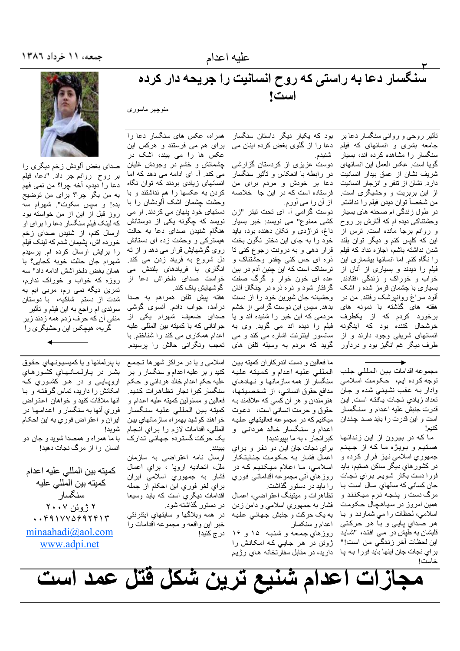## ۳<br>سنگسار دعا به راستی که روح انسانیت را جریحه دار کرده است!

منوچهر ماسوری

بود که یکبار دیگر داستان سنگسار تأثیر روحی و روانی سنگسار دعا بر جامعه بشری و انسانهای که فیلم دعا را از گلوی بغض کرده اینان می سنگسار را مشاهده کرده اند، بسیار شنيدم. دوست عزیزی از کردستان گزارشی گويا است حكس العمل اين انسانهاي در رابطه با انعکاس و تأثیر سنگسار شریف نشان از عمق بیدار انسانیت دار د. نشان از تنفر و انز جار انسانیت دعا بر خودش و مردم برا*ی* من فرستاده است که در این جا خلاصه از این بربریت و وحشیگر *ی* است. از آن را می آورم.<br>دوست گرامی آ- ای تحت تیتر "زن من شخصـاً توان ديدن فيلم ر1 نداشتم. در طول زندگی ام صحنه های بسیار وحشتناکی دیده ام که أثارش بر روح کشی ممنوع" می نویسد: خبر بسیار

داغ، تراژدی و تکان دهنده بود، باید و روانم برجا مانده است. ترس از خود را به جای این دختر نگون بخت این که کلیس کنم و دیگر توان بلند قرار دهي و به درونت رجوع كني تا شدن نداشته باشم، اجازه نداد كه فيلم ذره ای حس کن<sub>ی</sub> چقدر وحشتناک و را نگاه کنم. اما انسانها بیشماری این ترسناک است که این چنین آدم در بین فیلم را دیدند و بسیاری از أنان از عده ای خون خوار و گرگ صفت خواب و خوراک و زندگی افتادند. گرفتار شود و ذره ذره در چنگال أنان بسیار ی با چشمان قر مز شده و اشک ألود سراغ روانپرشک رفتند. من در وحشیانه جان شیرین خود را از دست بدهد. سپس این دوست گرامی از خشم هفته های گذشته با نمونه های مردمی که این خبر را شنیده اند و یا برخورد كردم كه از يكطرف خوشحال کننده بود که اینگونه فیلم را دیده اند می گوید. وی به سانسور اینترنت اشاره مے کند و مے انسانهای شریفی وجود دارند و از طرف دیگر غم انگیز بود و دردآور گوید که مردم به وسیله تلفن های

برای هم می فرستند و هرکس این عکس ها را می بیند، اشک در چشمانش و خشم در وجودش غلیان می کند. آ۔ ای ادامه می دهد که اما انسانهای زیادی بودند که توان نگاه کر دن به عکسها را هم نداشتند و با وحشت جشمان اشک ألودشان را با دستهای خود پنهان می کردند. او می نویسد که چگونه یکی از دوستانش هنگام شنیدن صدا*ی* دعا به حالت هیسترکی و وحشت زده ای دستانش روی گوشهایش قرار می دهد و از ته دل شروع به فریاد زدن می کند. انگاری با فریادها*ی* بلندش م*ی* خواست صدای دلخراش دعا از

همراه، عكس هاى سنگسار دعا را

گوشهایش یاک کند. هفته پیش تلفن همراهم به صدا درأمد، جواب دادم. أنسوى گوشى صدای ضعیف شهرام یکی از جوانانی که با کمیته بین المللی علیه اعدام همکاری می کند را شناختم با تعجب ونگرانی حالش را پرسیدم.



صدای بغض آلودش ز خم دیگر ی ر ا بر روح روانم جر داد. "دعا، فيلم دعا را ديدم، أخه چرا؟ من نمي فهم به من بگو چرا؟ برای من توضیح بده! و سپس سکوت". شهرام سه روز قبل از این از من خواسته بود كه لينك فيلم سنگسار دعا را براي او ار سال کنم، از شنیدن صدای زخم خورده اش، پشیمان شدم که لینک فیلم را برایش ارسال کرده ام. پرسیدم شهر ام جان حالت خوبه كجابى؟ با همان بغض دلخر اشش ادامه داد" سه روزه که خواب و خوراک ندارم، تمرین دیگه نمی رم، مربی ایم به شدت از دستم شاکیه، با دوستان سوئدي ام راجع به اين فيلم و تأثير منفی آن که حرف زدم همه زدند زیر گریه، هیچکس این وحشیگری را

> مجموعه اقدامات بين المللي جلب توجه كرده ايم، حكومت اسلامي وادار بـه عقب نشينـي شده و جان تعداد زيادي نجات يافته است. اين قدرت جنبش عليه اعدام و سنگسار است و این قدرت را باید صد چندان

ما که در بیرون از این زندانها کبرانجار ، به ما بپیوندید! هستيم و بويژه ما كه از جهنم جمهوري اسلامي نيز فرار كرده و در کشور هاي ديگر ساکن هستيم، بايد فورا دست بكار شويم. براي نجات جان كساني كه سالهاي سال است با مرگ دست و پنجه نرم میکنند و همين امروز در سياهچال حكومت اسلامی، لحظات را می شمارند و با هر صداي پايي و با هر حرکتي قلبشان به طَبِشْ دَر مـي افـنـد، "شـايـدّ<br>اين لـحظات آخر زنـدگـي مـن اسـت!" خاست!

كنيم!

ما فعالین و دست اندرکاران کمیته بین المللي عليه اعدام وكميته عليه سنگسار از همه سازمانها و نـهـادهـاي مدافع حقوق انساني، از شخصيتها، هنرمندان و هر أن كسى كه علاقمند بـه حقوق وحرمت انساني است، دعوت ميكنيم كه در مجموعه فعاليتهاي عليه اعدام و سنگسار خالد هردان*ي* و

براي نجات جان اين دو نفر و براي اعمال فشار به حکومت جنایتکار اسلامی، ما اعلام میکنیم که در روزهاي أتي مجموعه اقداماتي فوري ر ا باید در دستور گذاشت.

تظاهر ات و میتینگ اعتر اضبی، اعمـال فشار به جمهوري اسلامي و دامن زدن به یک حرکت و جنبش جهانی علیه اعدام و سنكسار

روزهاي جمعه و شنبه ۱۵ و ۱۶ ژوئن در هر جایی که امکانش را براي نجات جان اينها بايد فورا بـه پـا داريد، در مقابل سفارتخانه هـاي رژيـم

اسلامي و يا در مراكز شهرها تجمع کنید و بر علیه اعدام و سنگسار و بر علیه حکم اعدام خالد هردانبی و حکم سنگسار كبرا نجار تظاهرات كنيد. فعالين و مسئولين كميته عليه اعدام و كميته بين المللي عليه سنگسار خو اهند کوشید بهمر اه ساز مانهای بین المللي، اقدامات لازم را براي انجام یک حرکت گسترده جهانی تدارک

ببينند. ارسال نامه اعتراضي به سازمان ملل، اتحاديه اروپا ، براي اعمال فشار به جمهوري اسلامي ايران براي لغو فوري اين احكام از جمله اقدامات دیگری است که باید وسیعا در دستور گذاشته شود.

در همه وبلاگها و سایتهای ایتنرنتی خبر این واقعه و مجموعه اقدامات را در ج کنید!

با پارلمانها و يا كميسيونهاي حقوق بشر در پارلمانهاي كشورهاي اروپايي و در هر کشوري کـه امکانش را دارید، تماس گرفتـه و بـا أنها ملاقات كنيد و خواهان اعتراض فوري أنها به سنگسار و اعدامها در ایران و اعتراض فوری به این احکام شويد!

با ما همراه و همصدا شوید و جان دو انسان را از مرگ نجات دهید!

كميته بين المللي عليه اعدام كميته بين المللي عليه سنگسار ۲ ژوئن ۲۰۰۷  $\cdot$ ,  $4111122211417$  $minahadi@aol.com$ www.adpi.net